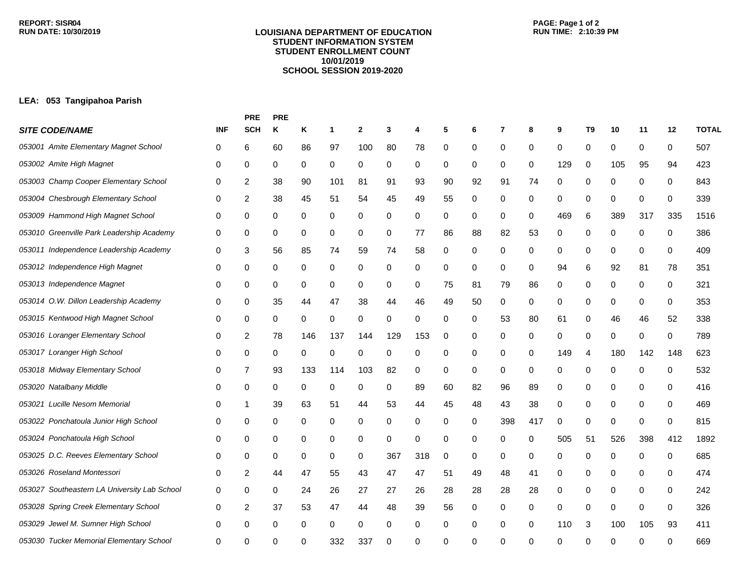## **LOUISIANA DEPARTMENT OF EDUCATION STUDENT INFORMATION SYSTEM STUDENT ENROLLMENT COUNT 10/01/2019 SCHOOL SESSION 2019-2020**

## **LEA: 053 Tangipahoa Parish**

|                                              |            | <b>PRE</b>       | <b>PRE</b> |          |     |              |             |     |    |    |          |     |     |                |     |             |     |              |
|----------------------------------------------|------------|------------------|------------|----------|-----|--------------|-------------|-----|----|----|----------|-----|-----|----------------|-----|-------------|-----|--------------|
| <b>SITE CODE/NAME</b>                        | <b>INF</b> | <b>SCH</b>       | Κ          | Κ        | 1   | $\mathbf{2}$ | 3           | 4   | 5  | 6  | 7        | 8   | 9   | T <sub>9</sub> | 10  | 11          | 12  | <b>TOTAL</b> |
| 053001 Amite Elementary Magnet School        | 0          | 6                | 60         | 86       | 97  | 100          | 80          | 78  | 0  | 0  | 0        | 0   | 0   | 0              | 0   | 0           | 0   | 507          |
| 053002 Amite High Magnet                     | 0          | 0                | 0          | 0        | 0   | 0            | 0           | 0   | 0  | 0  | 0        | 0   | 129 | $\mathbf 0$    | 105 | 95          | 94  | 423          |
| 053003 Champ Cooper Elementary School        | 0          | 2                | 38         | 90       | 101 | 81           | 91          | 93  | 90 | 92 | 91       | 74  | 0   | 0              | 0   | 0           | 0   | 843          |
| 053004 Chesbrough Elementary School          | 0          | $\overline{c}$   | 38         | 45       | 51  | 54           | 45          | 49  | 55 | 0  | 0        | 0   | 0   | 0              | 0   | 0           | 0   | 339          |
| 053009 Hammond High Magnet School            | 0          | 0                | 0          | 0        | 0   | 0            | 0           | 0   | 0  | 0  | 0        | 0   | 469 | 6              | 389 | 317         | 335 | 1516         |
| 053010 Greenville Park Leadership Academy    | 0          | 0                | 0          | 0        | 0   | 0            | 0           | 77  | 86 | 88 | 82       | 53  | 0   | 0              | 0   | 0           | 0   | 386          |
| 053011 Independence Leadership Academy       | 0          | 3                | 56         | 85       | 74  | 59           | 74          | 58  | 0  | 0  | 0        | 0   | 0   | 0              | 0   | 0           | 0   | 409          |
| 053012 Independence High Magnet              | 0          | 0                | 0          | 0        | 0   | $\pmb{0}$    | 0           | 0   | 0  | 0  | 0        | 0   | 94  | 6              | 92  | 81          | 78  | 351          |
| 053013 Independence Magnet                   | 0          | 0                | 0          | 0        | 0   | 0            | $\mathbf 0$ | 0   | 75 | 81 | 79       | 86  | 0   | 0              | 0   | 0           | 0   | 321          |
| 053014 O.W. Dillon Leadership Academy        | 0          | 0                | 35         | 44       | 47  | 38           | 44          | 46  | 49 | 50 | 0        | 0   | 0   | 0              | 0   | 0           | 0   | 353          |
| 053015 Kentwood High Magnet School           | 0          | 0                | 0          | 0        | 0   | 0            | 0           | 0   | 0  | 0  | 53       | 80  | 61  | 0              | 46  | 46          | 52  | 338          |
| 053016 Loranger Elementary School            | 0          | 2                | 78         | 146      | 137 | 144          | 129         | 153 | 0  | 0  | 0        | 0   | 0   | 0              | 0   | 0           | 0   | 789          |
| 053017 Loranger High School                  | 0          | 0                | 0          | 0        | 0   | 0            | 0           | 0   | 0  | 0  | 0        | 0   | 149 | 4              | 180 | 142         | 148 | 623          |
| 053018 Midway Elementary School              | 0          | 7                | 93         | 133      | 114 | 103          | 82          | 0   | 0  | 0  | 0        | 0   | 0   | 0              | 0   | 0           | 0   | 532          |
| 053020 Natalbany Middle                      | 0          | 0                | 0          | 0        | 0   | 0            | 0           | 89  | 60 | 82 | 96       | 89  | 0   | 0              | 0   | 0           | 0   | 416          |
| 053021 Lucille Nesom Memorial                | 0          | 1                | 39         | 63       | 51  | 44           | 53          | 44  | 45 | 48 | 43       | 38  | 0   | 0              | 0   | 0           | 0   | 469          |
| 053022 Ponchatoula Junior High School        | 0          | 0                | 0          | 0        | 0   | 0            | 0           | 0   | 0  | 0  | 398      | 417 | 0   | 0              | 0   | 0           | 0   | 815          |
| 053024 Ponchatoula High School               | 0          | 0                | 0          | 0        | 0   | 0            | 0           | 0   | 0  | 0  | 0        | 0   | 505 | 51             | 526 | 398         | 412 | 1892         |
| 053025 D.C. Reeves Elementary School         | 0          | 0                | 0          | 0        | 0   | 0            | 367         | 318 | 0  | 0  | 0        | 0   | 0   | 0              | 0   | 0           | 0   | 685          |
| 053026 Roseland Montessori                   | 0          | 2                | 44         | 47       | 55  | 43           | 47          | 47  | 51 | 49 | 48       | 41  | 0   | 0              | 0   | 0           | 0   | 474          |
| 053027 Southeastern LA University Lab School | 0          | 0                | 0          | 24       | 26  | 27           | 27          | 26  | 28 | 28 | 28       | 28  | 0   | 0              | 0   | 0           | 0   | 242          |
| 053028 Spring Creek Elementary School        | 0          | $\boldsymbol{2}$ | 37         | 53       | 47  | 44           | 48          | 39  | 56 | 0  | 0        | 0   | 0   | $\mathbf 0$    | 0   | $\mathbf 0$ | 0   | 326          |
| 053029 Jewel M. Sumner High School           | 0          | 0                | 0          | $\Omega$ | 0   | 0            | 0           | 0   | 0  | 0  | 0        | 0   | 110 | 3              | 100 | 105         | 93  | 411          |
| 053030 Tucker Memorial Elementary School     | 0          | ∩                |            |          | 332 | 337          | ∩           | 0   | 0  | U  | $\Omega$ | ∩   | ∩   | $\Omega$       | ∩   | ∩           |     | 669          |